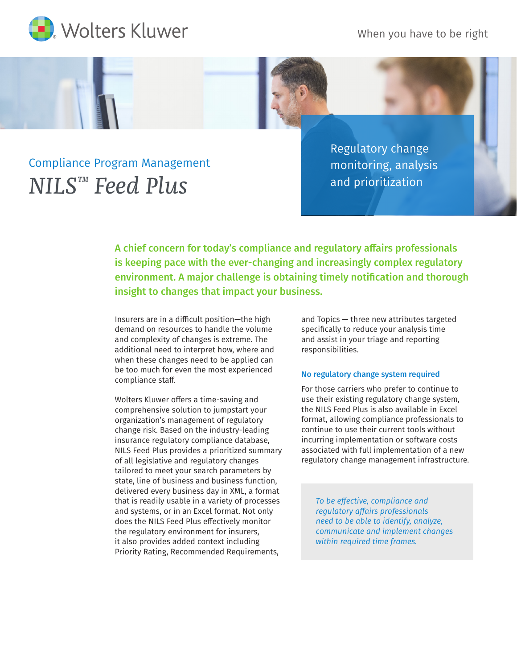When you have to be right





Regulatory change monitoring, analysis and prioritization

A chief concern for today's compliance and regulatory affairs professionals is keeping pace with the ever-changing and increasingly complex regulatory environment. A major challenge is obtaining timely notification and thorough insight to changes that impact your business.

Insurers are in a difficult position—the high demand on resources to handle the volume and complexity of changes is extreme. The additional need to interpret how, where and when these changes need to be applied can be too much for even the most experienced compliance staff.

Wolters Kluwer offers a time-saving and comprehensive solution to jumpstart your organization's management of regulatory change risk. Based on the industry-leading insurance regulatory compliance database, NILS Feed Plus provides a prioritized summary of all legislative and regulatory changes tailored to meet your search parameters by state, line of business and business function, delivered every business day in XML, a format that is readily usable in a variety of processes and systems, or in an Excel format. Not only does the NILS Feed Plus effectively monitor the regulatory environment for insurers, it also provides added context including Priority Rating, Recommended Requirements,

and Topics — three new attributes targeted specifically to reduce your analysis time and assist in your triage and reporting responsibilities.

## No regulatory change system required

For those carriers who prefer to continue to use their existing regulatory change system, the NILS Feed Plus is also available in Excel format, allowing compliance professionals to continue to use their current tools without incurring implementation or software costs associated with full implementation of a new regulatory change management infrastructure.

*To be effective, compliance and regulatory affairs professionals need to be able to identify, analyze, communicate and implement changes within required time frames.*